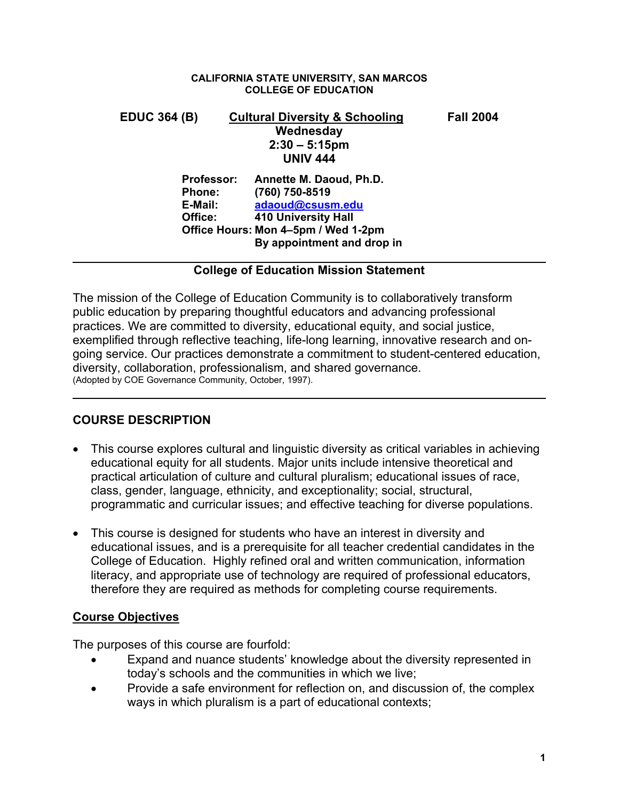### **CALIFORNIA STATE UNIVERSITY, SAN MARCOS COLLEGE OF EDUCATION**

| <b>EDUC 364 (B)</b>                 |                   | <b>Cultural Diversity &amp; Schooling</b> | <b>Fall 2004</b> |
|-------------------------------------|-------------------|-------------------------------------------|------------------|
|                                     |                   | Wednesday                                 |                  |
|                                     |                   | $2:30 - 5:15$ pm                          |                  |
|                                     |                   | <b>UNIV 444</b>                           |                  |
|                                     | <b>Professor:</b> | Annette M. Daoud, Ph.D.                   |                  |
|                                     | <b>Phone:</b>     | (760) 750-8519                            |                  |
|                                     | E-Mail:           | adaoud@csusm.edu                          |                  |
|                                     | Office:           | 410 University Hall                       |                  |
| Office Hours: Mon 4-5pm / Wed 1-2pm |                   |                                           |                  |
|                                     |                   | By appointment and drop in                |                  |
|                                     |                   |                                           |                  |

## **College of Education Mission Statement**

The mission of the College of Education Community is to collaboratively transform public education by preparing thoughtful educators and advancing professional practices. We are committed to diversity, educational equity, and social justice, exemplified through reflective teaching, life-long learning, innovative research and ongoing service. Our practices demonstrate a commitment to student-centered education, diversity, collaboration, professionalism, and shared governance. (Adopted by COE Governance Community, October, 1997).

# **COURSE DESCRIPTION**

- This course explores cultural and linguistic diversity as critical variables in achieving educational equity for all students. Major units include intensive theoretical and practical articulation of culture and cultural pluralism; educational issues of race, class, gender, language, ethnicity, and exceptionality; social, structural, programmatic and curricular issues; and effective teaching for diverse populations.
- This course is designed for students who have an interest in diversity and educational issues, and is a prerequisite for all teacher credential candidates in the College of Education. Highly refined oral and written communication, information literacy, and appropriate use of technology are required of professional educators, therefore they are required as methods for completing course requirements.

# **Course Objectives**

The purposes of this course are fourfold:

- Expand and nuance students' knowledge about the diversity represented in today's schools and the communities in which we live;
- Provide a safe environment for reflection on, and discussion of, the complex ways in which pluralism is a part of educational contexts;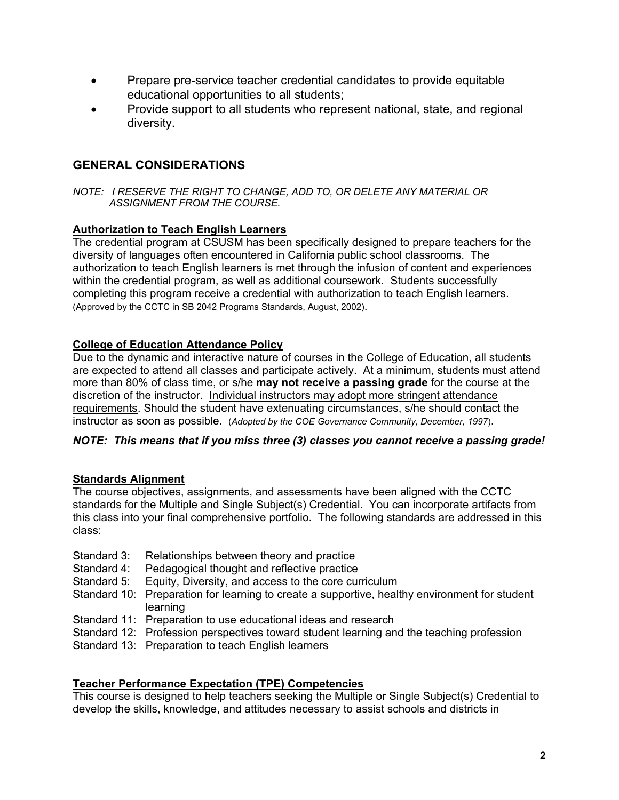- Prepare pre-service teacher credential candidates to provide equitable educational opportunities to all students;
- Provide support to all students who represent national, state, and regional diversity.

# **GENERAL CONSIDERATIONS**

*NOTE: I RESERVE THE RIGHT TO CHANGE, ADD TO, OR DELETE ANY MATERIAL OR ASSIGNMENT FROM THE COURSE.*

## **Authorization to Teach English Learners**

The credential program at CSUSM has been specifically designed to prepare teachers for the diversity of languages often encountered in California public school classrooms. The authorization to teach English learners is met through the infusion of content and experiences within the credential program, as well as additional coursework. Students successfully completing this program receive a credential with authorization to teach English learners. (Approved by the CCTC in SB 2042 Programs Standards, August, 2002).

## **College of Education Attendance Policy**

Due to the dynamic and interactive nature of courses in the College of Education, all students are expected to attend all classes and participate actively. At a minimum, students must attend more than 80% of class time, or s/he **may not receive a passing grade** for the course at the discretion of the instructor. Individual instructors may adopt more stringent attendance requirements. Should the student have extenuating circumstances, s/he should contact the instructor as soon as possible. (*Adopted by the COE Governance Community, December, 1997*).

## *NOTE: This means that if you miss three (3) classes you cannot receive a passing grade!*

## **Standards Alignment**

The course objectives, assignments, and assessments have been aligned with the CCTC standards for the Multiple and Single Subject(s) Credential. You can incorporate artifacts from this class into your final comprehensive portfolio. The following standards are addressed in this class:

- Standard 3: Relationships between theory and practice
- Standard 4: Pedagogical thought and reflective practice
- Standard 5: Equity, Diversity, and access to the core curriculum
- Standard 10: Preparation for learning to create a supportive, healthy environment for student learning
- Standard 11: Preparation to use educational ideas and research
- Standard 12: Profession perspectives toward student learning and the teaching profession
- Standard 13: Preparation to teach English learners

## **Teacher Performance Expectation (TPE) Competencies**

This course is designed to help teachers seeking the Multiple or Single Subject(s) Credential to develop the skills, knowledge, and attitudes necessary to assist schools and districts in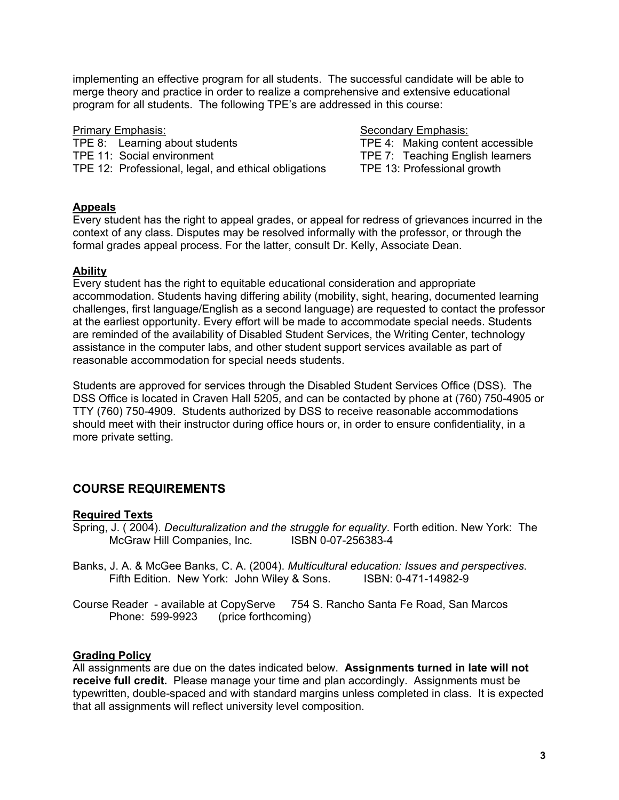implementing an effective program for all students. The successful candidate will be able to merge theory and practice in order to realize a comprehensive and extensive educational program for all students. The following TPE's are addressed in this course:

Primary Emphasis: Secondary Emphasis: TPE 8: Learning about students TPE 4: Making content accessible TPE 11: Social environment TPE 7: Teaching English learners TPE 12: Professional, legal, and ethical obligations TPE 13: Professional growth

## **Appeals**

Every student has the right to appeal grades, or appeal for redress of grievances incurred in the context of any class. Disputes may be resolved informally with the professor, or through the formal grades appeal process. For the latter, consult Dr. Kelly, Associate Dean.

## **Ability**

Every student has the right to equitable educational consideration and appropriate accommodation. Students having differing ability (mobility, sight, hearing, documented learning challenges, first language/English as a second language) are requested to contact the professor at the earliest opportunity. Every effort will be made to accommodate special needs. Students are reminded of the availability of Disabled Student Services, the Writing Center, technology assistance in the computer labs, and other student support services available as part of reasonable accommodation for special needs students.

Students are approved for services through the Disabled Student Services Office (DSS). The DSS Office is located in Craven Hall 5205, and can be contacted by phone at (760) 750-4905 or TTY (760) 750-4909. Students authorized by DSS to receive reasonable accommodations should meet with their instructor during office hours or, in order to ensure confidentiality, in a more private setting.

# **COURSE REQUIREMENTS**

## **Required Texts**

Spring, J. ( 2004). *Deculturalization and the struggle for equality*. Forth edition. New York: The McGraw Hill Companies, Inc. ISBN 0-07-256383-4

- Banks, J. A. & McGee Banks, C. A. (2004). *Multicultural education: Issues and perspectives*. Fifth Edition. New York: John Wiley & Sons. ISBN: 0-471-14982-9
- Course Reader available at CopyServe 754 S. Rancho Santa Fe Road, San Marcos Phone: 599-9923 (price forthcoming)

## **Grading Policy**

All assignments are due on the dates indicated below. **Assignments turned in late will not receive full credit.** Please manage your time and plan accordingly. Assignments must be typewritten, double-spaced and with standard margins unless completed in class. It is expected that all assignments will reflect university level composition.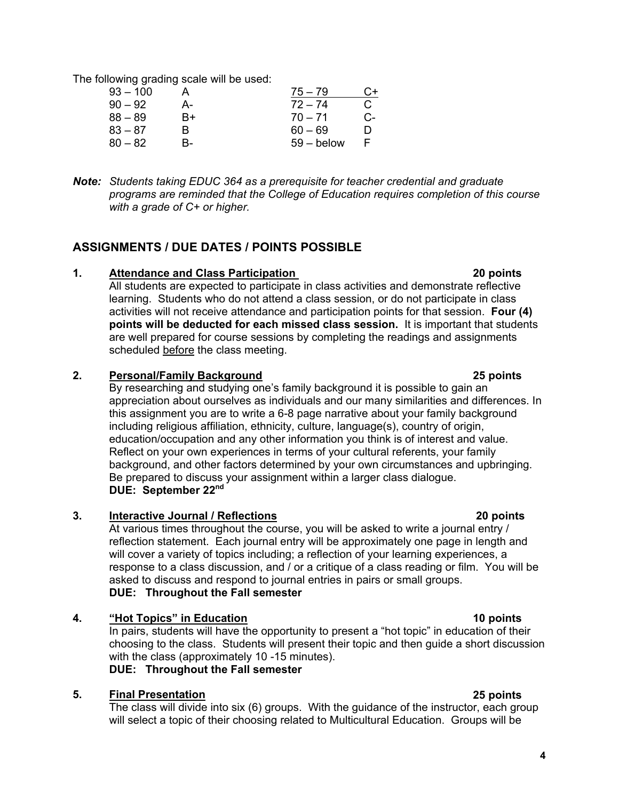The following grading scale will be used:

| $93 - 100$ |    | $75 - 79$    | C+ |
|------------|----|--------------|----|
| $90 - 92$  | А- | $72 - 74$    | C. |
| $88 - 89$  | R+ | $70 - 71$    | C- |
| $83 - 87$  | R  | $60 - 69$    | D  |
| $80 - 82$  | R- | $59 -$ below |    |

*Note: Students taking EDUC 364 as a prerequisite for teacher credential and graduate programs are reminded that the College of Education requires completion of this course with a grade of C+ or higher.* 

## **ASSIGNMENTS / DUE DATES / POINTS POSSIBLE**

### **1. Attendance and Class Participation 20 points**

All students are expected to participate in class activities and demonstrate reflective learning. Students who do not attend a class session, or do not participate in class activities will not receive attendance and participation points for that session. **Four (4) points will be deducted for each missed class session.** It is important that students are well prepared for course sessions by completing the readings and assignments scheduled before the class meeting.

## **2. Personal/Family Background 25 points**

By researching and studying one's family background it is possible to gain an appreciation about ourselves as individuals and our many similarities and differences. In this assignment you are to write a 6-8 page narrative about your family background including religious affiliation, ethnicity, culture, language(s), country of origin, education/occupation and any other information you think is of interest and value. Reflect on your own experiences in terms of your cultural referents, your family background, and other factors determined by your own circumstances and upbringing. Be prepared to discuss your assignment within a larger class dialogue. **DUE: September 22nd** 

## **3. Interactive Journal / Reflections 20 points**

At various times throughout the course, you will be asked to write a journal entry / reflection statement. Each journal entry will be approximately one page in length and will cover a variety of topics including; a reflection of your learning experiences, a response to a class discussion, and / or a critique of a class reading or film. You will be asked to discuss and respond to journal entries in pairs or small groups. **DUE: Throughout the Fall semester** 

## **4. "Hot Topics" in Education 10 points**

In pairs, students will have the opportunity to present a "hot topic" in education of their choosing to the class. Students will present their topic and then guide a short discussion with the class (approximately 10 -15 minutes). **DUE: Throughout the Fall semester** 

## **5. Final Presentation 25 points**

The class will divide into six (6) groups. With the guidance of the instructor, each group will select a topic of their choosing related to Multicultural Education. Groups will be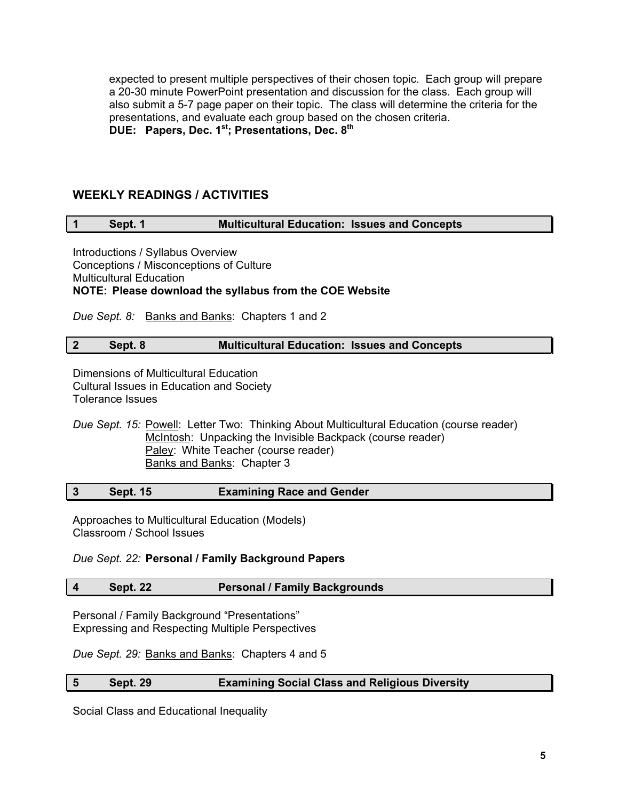expected to present multiple perspectives of their chosen topic. Each group will prepare a 20-30 minute PowerPoint presentation and discussion for the class. Each group will also submit a 5-7 page paper on their topic. The class will determine the criteria for the presentations, and evaluate each group based on the chosen criteria. **DUE: Papers, Dec. 1st; Presentations, Dec. 8th** 

## **WEEKLY READINGS / ACTIVITIES**

## **1 Sept. 1 Multicultural Education: Issues and Concepts**

Introductions / Syllabus Overview Conceptions / Misconceptions of Culture Multicultural Education **NOTE: Please download the syllabus from the COE Website** 

*Due Sept. 8:* Banks and Banks: Chapters 1 and 2

## **2 Sept. 8 Multicultural Education: Issues and Concepts**

Dimensions of Multicultural Education Cultural Issues in Education and Society Tolerance Issues

*Due Sept. 15:* Powell: Letter Two: Thinking About Multicultural Education (course reader) McIntosh: Unpacking the Invisible Backpack (course reader) Paley: White Teacher (course reader) Banks and Banks: Chapter 3

|  | <b>Sept. 15</b> | <b>Examining Race and Gender</b> |
|--|-----------------|----------------------------------|
|--|-----------------|----------------------------------|

Approaches to Multicultural Education (Models) Classroom / School Issues

*Due Sept. 22:* **Personal / Family Background Papers**

### **4 Sept. 22 Personal / Family Backgrounds**

Personal / Family Background "Presentations" Expressing and Respecting Multiple Perspectives

*Due Sept. 29:* Banks and Banks: Chapters 4 and 5

### **5 Sept. 29 Examining Social Class and Religious Diversity**

Social Class and Educational Inequality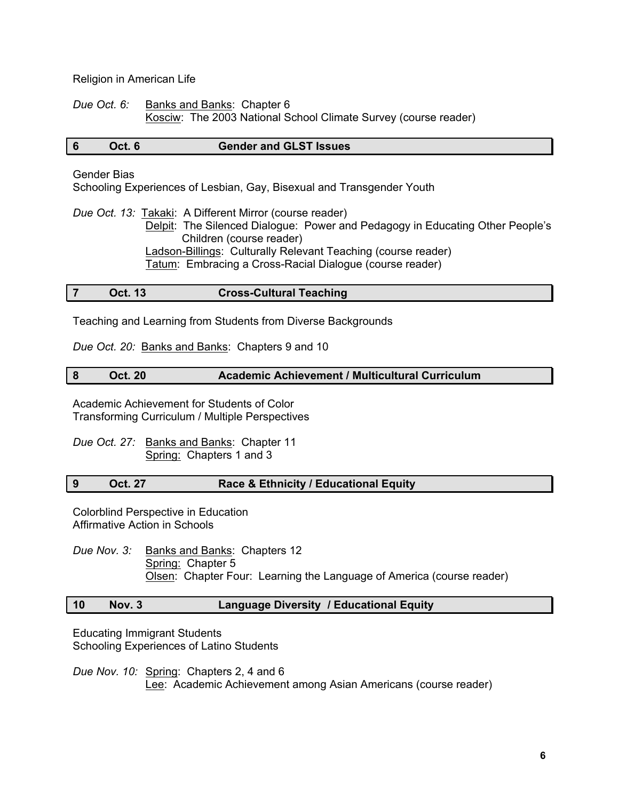Religion in American Life

*Due Oct. 6:* Banks and Banks: Chapter 6 Kosciw: The 2003 National School Climate Survey (course reader)

### **6 Oct. 6 Gender and GLST Issues**

### Gender Bias

Schooling Experiences of Lesbian, Gay, Bisexual and Transgender Youth

*Due Oct. 13:* Takaki: A Different Mirror (course reader) Delpit: The Silenced Dialogue: Power and Pedagogy in Educating Other People's Children (course reader) Ladson-Billings: Culturally Relevant Teaching (course reader) Tatum: Embracing a Cross-Racial Dialogue (course reader)

## **7 Oct. 13 Cross-Cultural Teaching**

Teaching and Learning from Students from Diverse Backgrounds

*Due Oct. 20:* Banks and Banks: Chapters 9 and 10

## **8 Oct. 20 Academic Achievement / Multicultural Curriculum**

Academic Achievement for Students of Color Transforming Curriculum / Multiple Perspectives

*Due Oct. 27:* Banks and Banks: Chapter 11 Spring: Chapters 1 and 3

## **9 Oct. 27 Race & Ethnicity / Educational Equity**

Colorblind Perspective in Education Affirmative Action in Schools

*Due Nov. 3:* Banks and Banks: Chapters 12 Spring: Chapter 5 **Olsen: Chapter Four: Learning the Language of America (course reader)** 

## **10 Nov. 3 Language Diversity / Educational Equity**

Educating Immigrant Students Schooling Experiences of Latino Students

*Due Nov. 10:* Spring: Chapters 2, 4 and 6 Lee: Academic Achievement among Asian Americans (course reader)